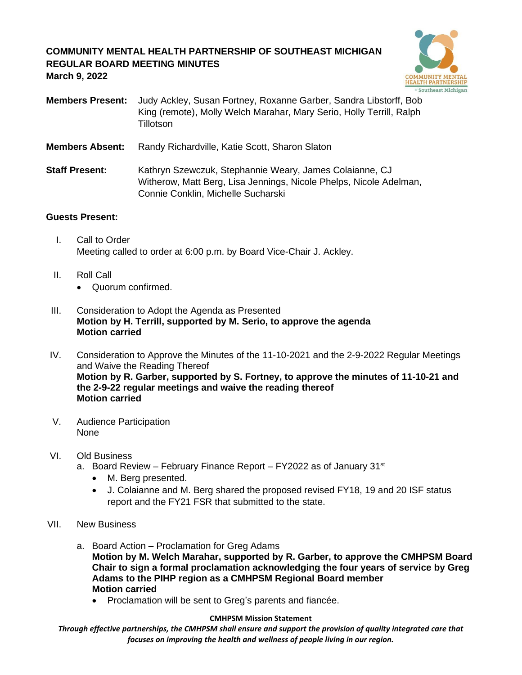## **COMMUNITY MENTAL HEALTH PARTNERSHIP OF SOUTHEAST MICHIGAN REGULAR BOARD MEETING MINUTES March 9, 2022**



**Members Present:** Judy Ackley, Susan Fortney, Roxanne Garber, Sandra Libstorff, Bob King (remote), Molly Welch Marahar, Mary Serio, Holly Terrill, Ralph **Tillotson** 

**Members Absent:** Randy Richardville, Katie Scott, Sharon Slaton

**Staff Present:** Kathryn Szewczuk, Stephannie Weary, James Colaianne, CJ Witherow, Matt Berg, Lisa Jennings, Nicole Phelps, Nicole Adelman, Connie Conklin, Michelle Sucharski

### **Guests Present:**

- I. Call to Order Meeting called to order at 6:00 p.m. by Board Vice-Chair J. Ackley.
- II. Roll Call
	- Quorum confirmed.
- III. Consideration to Adopt the Agenda as Presented **Motion by H. Terrill, supported by M. Serio, to approve the agenda Motion carried**
- IV. Consideration to Approve the Minutes of the 11-10-2021 and the 2-9-2022 Regular Meetings and Waive the Reading Thereof **Motion by R. Garber, supported by S. Fortney, to approve the minutes of 11-10-21 and the 2-9-22 regular meetings and waive the reading thereof Motion carried**
- V. Audience Participation None
- VI. Old Business
	- a. Board Review February Finance Report FY2022 as of January 31<sup>st</sup>
		- M. Berg presented.
		- J. Colaianne and M. Berg shared the proposed revised FY18, 19 and 20 ISF status report and the FY21 FSR that submitted to the state.
- VII. New Business
	- a. Board Action Proclamation for Greg Adams **Motion by M. Welch Marahar, supported by R. Garber, to approve the CMHPSM Board Chair to sign a formal proclamation acknowledging the four years of service by Greg Adams to the PIHP region as a CMHPSM Regional Board member Motion carried**
		- Proclamation will be sent to Greg's parents and fiancée.

### **CMHPSM Mission Statement**

*Through effective partnerships, the CMHPSM shall ensure and support the provision of quality integrated care that focuses on improving the health and wellness of people living in our region.*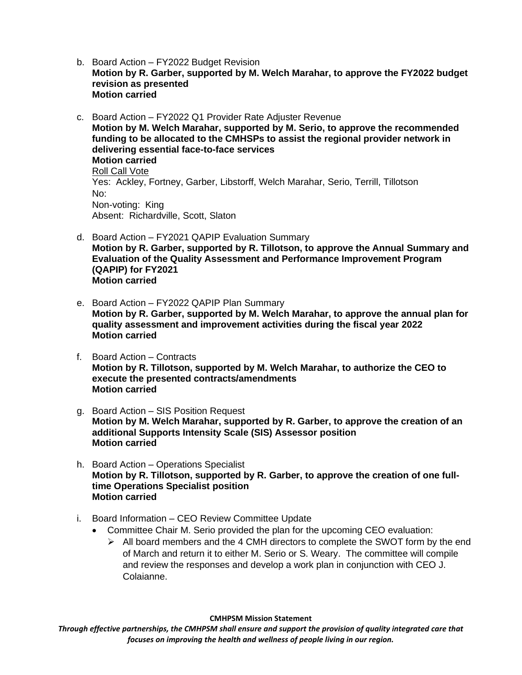- b. Board Action FY2022 Budget Revision **Motion by R. Garber, supported by M. Welch Marahar, to approve the FY2022 budget revision as presented Motion carried**
- c. Board Action FY2022 Q1 Provider Rate Adjuster Revenue **Motion by M. Welch Marahar, supported by M. Serio, to approve the recommended funding to be allocated to the CMHSPs to assist the regional provider network in delivering essential face-to-face services Motion carried** Roll Call Vote Yes: Ackley, Fortney, Garber, Libstorff, Welch Marahar, Serio, Terrill, Tillotson No: Non-voting: King Absent: Richardville, Scott, Slaton
- d. Board Action FY2021 QAPIP Evaluation Summary **Motion by R. Garber, supported by R. Tillotson, to approve the Annual Summary and Evaluation of the Quality Assessment and Performance Improvement Program (QAPIP) for FY2021 Motion carried**
- e. Board Action FY2022 QAPIP Plan Summary **Motion by R. Garber, supported by M. Welch Marahar, to approve the annual plan for quality assessment and improvement activities during the fiscal year 2022 Motion carried**
- f. Board Action Contracts **Motion by R. Tillotson, supported by M. Welch Marahar, to authorize the CEO to execute the presented contracts/amendments Motion carried**
- g. Board Action SIS Position Request **Motion by M. Welch Marahar, supported by R. Garber, to approve the creation of an additional Supports Intensity Scale (SIS) Assessor position Motion carried**
- h. Board Action Operations Specialist **Motion by R. Tillotson, supported by R. Garber, to approve the creation of one fulltime Operations Specialist position Motion carried**
- i. Board Information CEO Review Committee Update
	- Committee Chair M. Serio provided the plan for the upcoming CEO evaluation:
		- $\triangleright$  All board members and the 4 CMH directors to complete the SWOT form by the end of March and return it to either M. Serio or S. Weary. The committee will compile and review the responses and develop a work plan in conjunction with CEO J. Colaianne.

**CMHPSM Mission Statement**

*Through effective partnerships, the CMHPSM shall ensure and support the provision of quality integrated care that focuses on improving the health and wellness of people living in our region.*